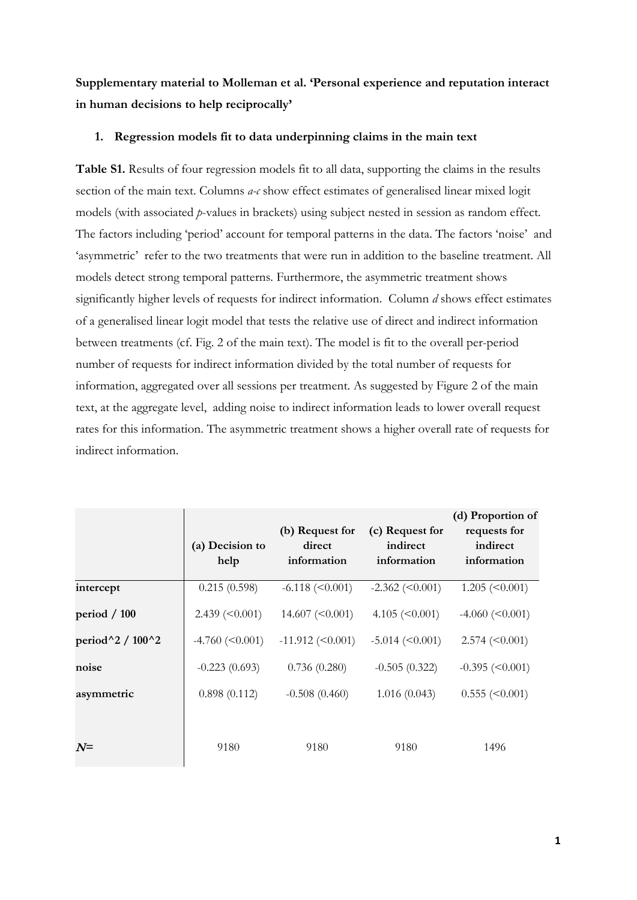**Supplementary material to Molleman et al. 'Personal experience and reputation interact in human decisions to help reciprocally'**

### **1. Regression models fit to data underpinning claims in the main text**

**Table S1.** Results of four regression models fit to all data, supporting the claims in the results section of the main text. Columns *a-c* show effect estimates of generalised linear mixed logit models (with associated *p*-values in brackets) using subject nested in session as random effect. The factors including 'period' account for temporal patterns in the data. The factors 'noise' and 'asymmetric' refer to the two treatments that were run in addition to the baseline treatment. All models detect strong temporal patterns. Furthermore, the asymmetric treatment shows significantly higher levels of requests for indirect information. Column *d* shows effect estimates of a generalised linear logit model that tests the relative use of direct and indirect information between treatments (cf. Fig. 2 of the main text). The model is fit to the overall per-period number of requests for indirect information divided by the total number of requests for information, aggregated over all sessions per treatment. As suggested by Figure 2 of the main text, at the aggregate level, adding noise to indirect information leads to lower overall request rates for this information. The asymmetric treatment shows a higher overall rate of requests for indirect information.

|                                   | (a) Decision to<br>help | (b) Request for<br>direct<br>information | (c) Request for<br>indirect<br>information | (d) Proportion of<br>requests for<br>indirect<br>information |
|-----------------------------------|-------------------------|------------------------------------------|--------------------------------------------|--------------------------------------------------------------|
| intercept                         | 0.215(0.598)            | $-6.118 \approx (0.001)$                 | $-2.362 \approx (0.001)$                   | $1.205 \approx 0.001$                                        |
| period $/ 100$                    | $2.439 \; (<0.001$ )    | $14.607 \approx 0.001$                   | 4.105 $(<0.001$ )                          | $-4.060 \le 0.001$                                           |
| period $^{\wedge}2/100^{\wedge}2$ | $-4.760 \le 0.001$      | $-11.912$ (<0.001)                       | $-5.014 \approx (0.001)$                   | $2.574 \approx (0.001)$                                      |
| noise                             | $-0.223(0.693)$         | 0.736(0.280)                             | $-0.505(0.322)$                            | $-0.395 \approx (0.001)$                                     |
| asymmetric                        | 0.898(0.112)            | $-0.508(0.460)$                          | 1.016(0.043)                               | $0.555 \approx 0.001$                                        |
| $N =$                             | 9180                    | 9180                                     | 9180                                       | 1496                                                         |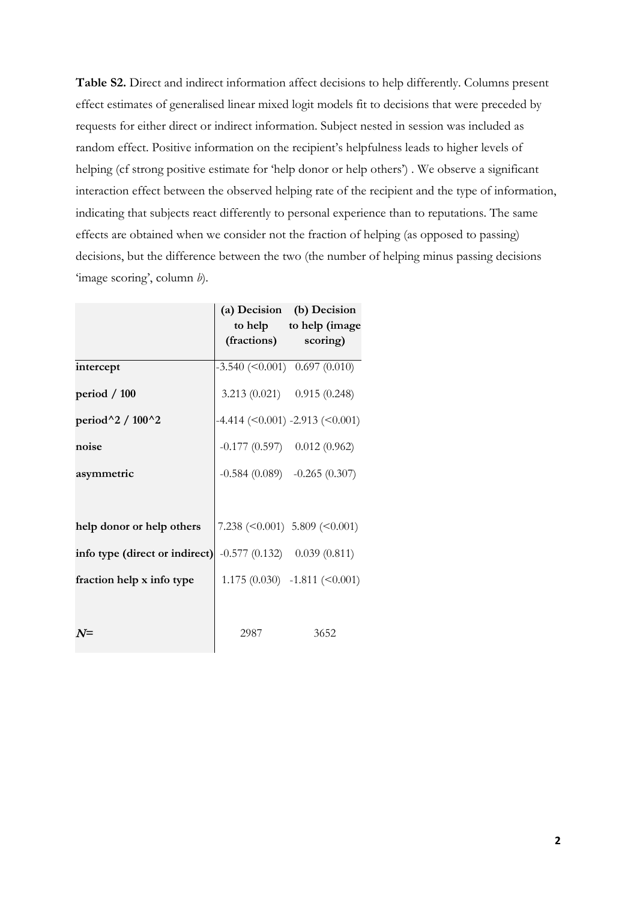**Table S2.** Direct and indirect information affect decisions to help differently. Columns present effect estimates of generalised linear mixed logit models fit to decisions that were preceded by requests for either direct or indirect information. Subject nested in session was included as random effect. Positive information on the recipient's helpfulness leads to higher levels of helping (cf strong positive estimate for 'help donor or help others') . We observe a significant interaction effect between the observed helping rate of the recipient and the type of information, indicating that subjects react differently to personal experience than to reputations. The same effects are obtained when we consider not the fraction of helping (as opposed to passing) decisions, but the difference between the two (the number of helping minus passing decisions 'image scoring', column *b*).

|                                                              | (fractions) scoring)                     | (a) Decision (b) Decision<br>to help to help (image                 |
|--------------------------------------------------------------|------------------------------------------|---------------------------------------------------------------------|
| intercept                                                    | $-3.540 \; (<0.001) \; 0.697 \; (0.010)$ |                                                                     |
| period / 100                                                 |                                          | 3.213 $(0.021)$ 0.915 $(0.248)$                                     |
| period $^{\wedge}2/100^{\wedge}2$                            |                                          | $-4.414 \left( \leq 0.001 \right) -2.913 \left( \leq 0.001 \right)$ |
| noise                                                        | $-0.177(0.597)$ 0.012 (0.962)            |                                                                     |
| asymmetric                                                   |                                          | $-0.584(0.089)$ $-0.265(0.307)$                                     |
|                                                              |                                          |                                                                     |
| help donor or help others                                    |                                          | 7.238 $(0.001) 5.809 (0.001)$                                       |
| info type (direct or indirect) $-0.577(0.132)$ 0.039 (0.811) |                                          |                                                                     |
| fraction help x info type                                    |                                          | $1.175(0.030)$ -1.811 (<0.001)                                      |
|                                                              |                                          |                                                                     |
| $N =$                                                        | 2987                                     | 3652                                                                |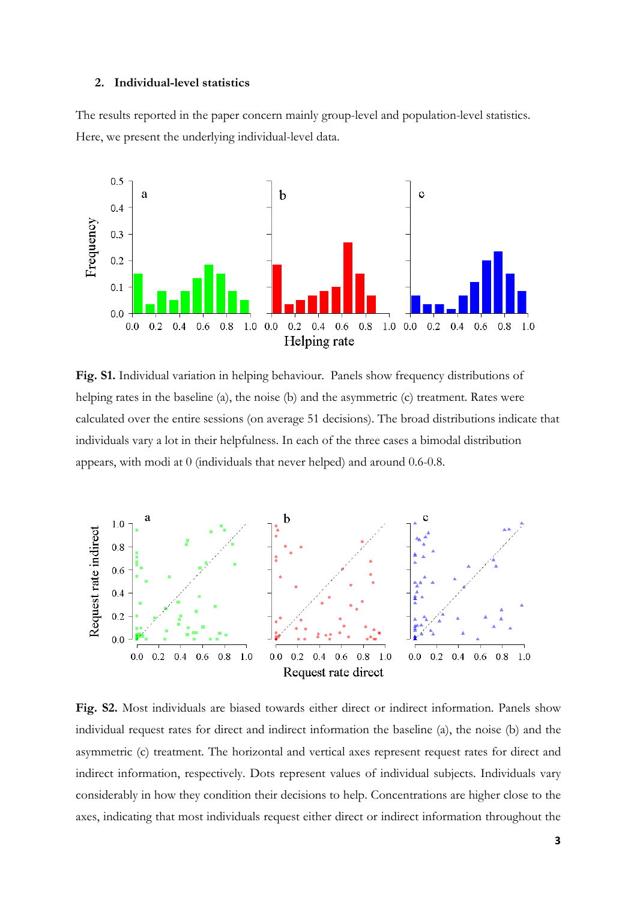#### **2. Individual-level statistics**

The results reported in the paper concern mainly group-level and population-level statistics. Here, we present the underlying individual-level data.



**Fig. S1.** Individual variation in helping behaviour. Panels show frequency distributions of helping rates in the baseline (a), the noise (b) and the asymmetric (c) treatment. Rates were calculated over the entire sessions (on average 51 decisions). The broad distributions indicate that individuals vary a lot in their helpfulness. In each of the three cases a bimodal distribution appears, with modi at 0 (individuals that never helped) and around 0.6-0.8.



**Fig. S2.** Most individuals are biased towards either direct or indirect information. Panels show individual request rates for direct and indirect information the baseline (a), the noise (b) and the asymmetric (c) treatment. The horizontal and vertical axes represent request rates for direct and indirect information, respectively. Dots represent values of individual subjects. Individuals vary considerably in how they condition their decisions to help. Concentrations are higher close to the axes, indicating that most individuals request either direct or indirect information throughout the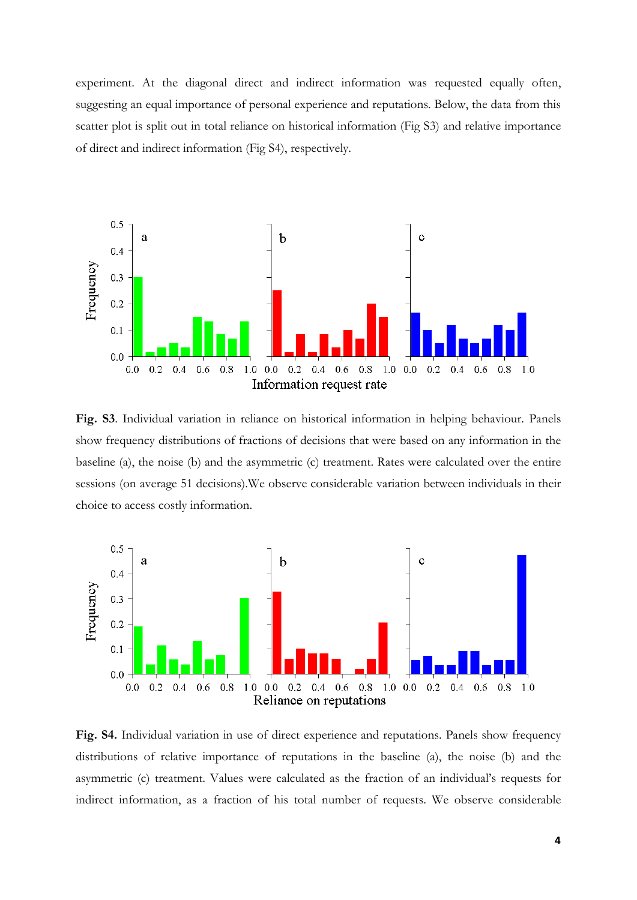experiment. At the diagonal direct and indirect information was requested equally often, suggesting an equal importance of personal experience and reputations. Below, the data from this scatter plot is split out in total reliance on historical information (Fig S3) and relative importance of direct and indirect information (Fig S4), respectively.



**Fig. S3**. Individual variation in reliance on historical information in helping behaviour. Panels show frequency distributions of fractions of decisions that were based on any information in the baseline (a), the noise (b) and the asymmetric (c) treatment. Rates were calculated over the entire sessions (on average 51 decisions).We observe considerable variation between individuals in their choice to access costly information.



**Fig. S4.** Individual variation in use of direct experience and reputations. Panels show frequency distributions of relative importance of reputations in the baseline (a), the noise (b) and the asymmetric (c) treatment. Values were calculated as the fraction of an individual's requests for indirect information, as a fraction of his total number of requests. We observe considerable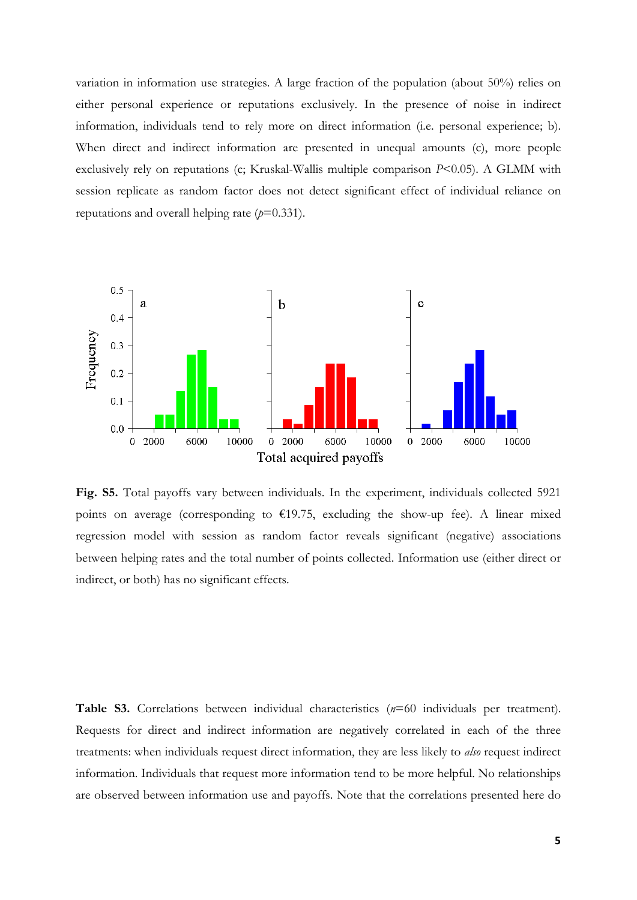variation in information use strategies. A large fraction of the population (about 50%) relies on either personal experience or reputations exclusively. In the presence of noise in indirect information, individuals tend to rely more on direct information (i.e. personal experience; b). When direct and indirect information are presented in unequal amounts (c), more people exclusively rely on reputations (c; Kruskal-Wallis multiple comparison *P*<0.05). A GLMM with session replicate as random factor does not detect significant effect of individual reliance on reputations and overall helping rate  $(p=0.331)$ .



**Fig. S5.** Total payoffs vary between individuals. In the experiment, individuals collected 5921 points on average (corresponding to  $£19.75$ , excluding the show-up fee). A linear mixed regression model with session as random factor reveals significant (negative) associations between helping rates and the total number of points collected. Information use (either direct or indirect, or both) has no significant effects.

**Table S3.** Correlations between individual characteristics (*n*=60 individuals per treatment). Requests for direct and indirect information are negatively correlated in each of the three treatments: when individuals request direct information, they are less likely to *also* request indirect information. Individuals that request more information tend to be more helpful. No relationships are observed between information use and payoffs. Note that the correlations presented here do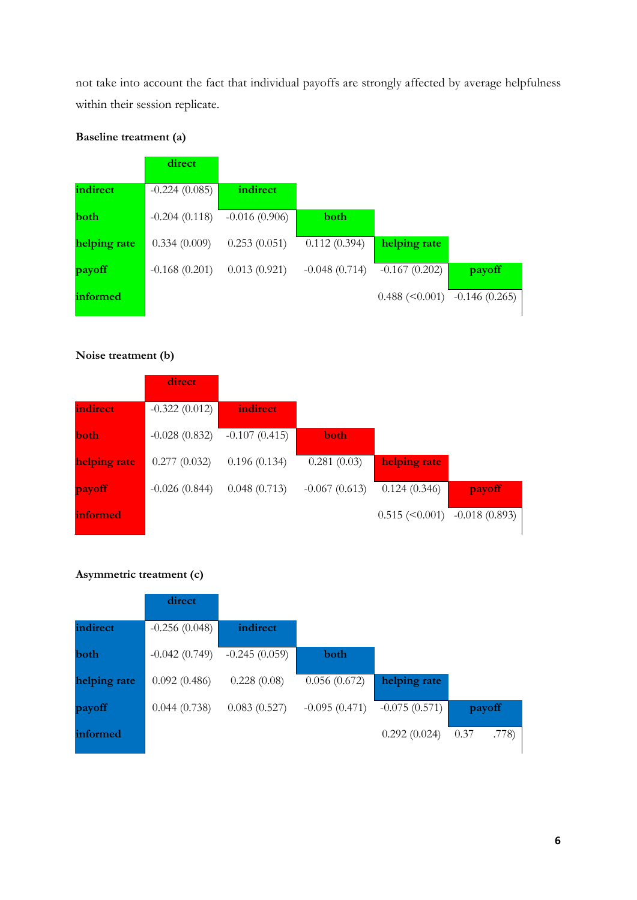not take into account the fact that individual payoffs are strongly affected by average helpfulness within their session replicate.

# **Baseline treatment (a)**

|              | direct          |                 |                 |                                       |        |
|--------------|-----------------|-----------------|-----------------|---------------------------------------|--------|
| indirect     | $-0.224(0.085)$ | indirect        |                 |                                       |        |
| <b>both</b>  | $-0.204(0.118)$ | $-0.016(0.906)$ | <b>both</b>     |                                       |        |
| helping rate | 0.334(0.009)    | 0.253(0.051)    | 0.112(0.394)    | helping rate                          |        |
| payoff       | $-0.168(0.201)$ | 0.013(0.921)    | $-0.048(0.714)$ | $-0.167(0.202)$                       | payoff |
| informed     |                 |                 |                 | $0.488$ (< $0.001$ ) $-0.146$ (0.265) |        |
|              |                 |                 |                 |                                       |        |

## **Noise treatment (b)**

|              | direct/         |                 |                 |                                              |        |
|--------------|-----------------|-----------------|-----------------|----------------------------------------------|--------|
| indirect     | $-0.322(0.012)$ | indirect        |                 |                                              |        |
| both         | $-0.028(0.832)$ | $-0.107(0.415)$ | <b>both</b>     |                                              |        |
| helping rate | 0.277(0.032)    | 0.196(0.134)    | 0.281(0.03)     | helping rate                                 |        |
| payoff       | $-0.026(0.844)$ | 0.048(0.713)    | $-0.067(0.613)$ | 0.124(0.346)                                 | payoff |
| informed     |                 |                 |                 | $0.515 \, (\leq 0.001) \, -0.018 \, (0.893)$ |        |

## **Asymmetric treatment (c)**

|              | direct          |                 |                 |                 |               |
|--------------|-----------------|-----------------|-----------------|-----------------|---------------|
| indirect     | $-0.256(0.048)$ | indirect        |                 |                 |               |
| both         | $-0.042(0.749)$ | $-0.245(0.059)$ | both            |                 |               |
| helping rate | 0.092(0.486)    | 0.228(0.08)     | 0.056(0.672)    | helping rate    |               |
| payoff       | 0.044(0.738)    | 0.083(0.527)    | $-0.095(0.471)$ | $-0.075(0.571)$ | payoff        |
| informed     |                 |                 |                 | 0.292(0.024)    | .778)<br>0.37 |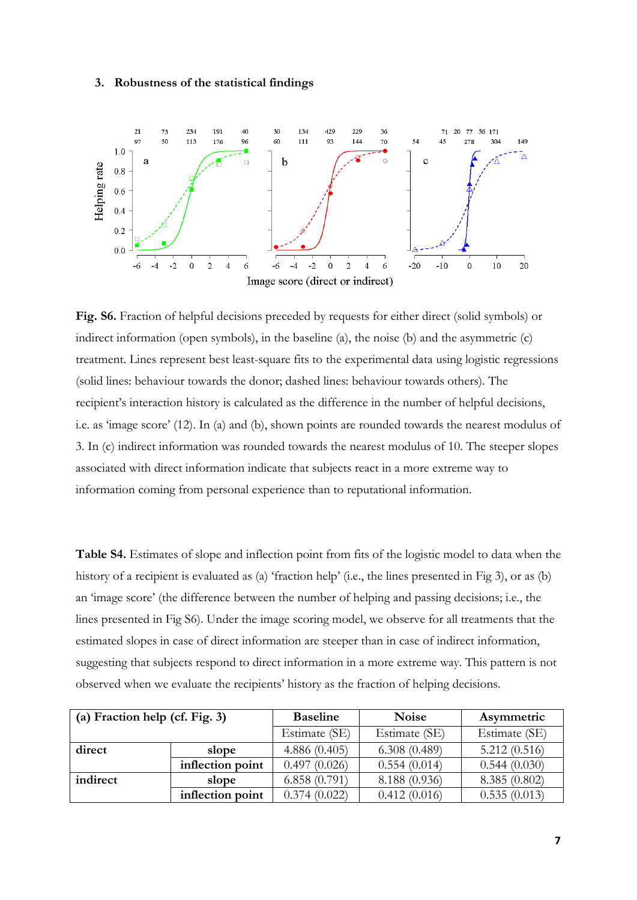#### **3. Robustness of the statistical findings**



**Fig. S6.** Fraction of helpful decisions preceded by requests for either direct (solid symbols) or indirect information (open symbols), in the baseline (a), the noise (b) and the asymmetric (c) treatment. Lines represent best least-square fits to the experimental data using logistic regressions (solid lines: behaviour towards the donor; dashed lines: behaviour towards others). The recipient's interaction history is calculated as the difference in the number of helpful decisions, i.e. as 'image score' (12). In (a) and (b), shown points are rounded towards the nearest modulus of 3. In (c) indirect information was rounded towards the nearest modulus of 10. The steeper slopes associated with direct information indicate that subjects react in a more extreme way to information coming from personal experience than to reputational information.

**Table S4.** Estimates of slope and inflection point from fits of the logistic model to data when the history of a recipient is evaluated as (a) 'fraction help' (i.e., the lines presented in Fig 3), or as (b) an 'image score' (the difference between the number of helping and passing decisions; i.e., the lines presented in Fig S6). Under the image scoring model, we observe for all treatments that the estimated slopes in case of direct information are steeper than in case of indirect information, suggesting that subjects respond to direct information in a more extreme way. This pattern is not observed when we evaluate the recipients' history as the fraction of helping decisions.

| (a) Fraction help (cf. Fig. 3) |                  | <b>Baseline</b> | <b>Noise</b>  | Asymmetric    |
|--------------------------------|------------------|-----------------|---------------|---------------|
|                                |                  | Estimate (SE)   | Estimate (SE) | Estimate (SE) |
| direct                         | slope            | 4.886(0.405)    | 6.308(0.489)  | 5.212(0.516)  |
|                                | inflection point | 0.497(0.026)    | 0.554(0.014)  | 0.544(0.030)  |
| indirect                       | slope            | 6.858(0.791)    | 8.188 (0.936) | 8.385(0.802)  |
|                                | inflection point | 0.374(0.022)    | 0.412(0.016)  | 0.535(0.013)  |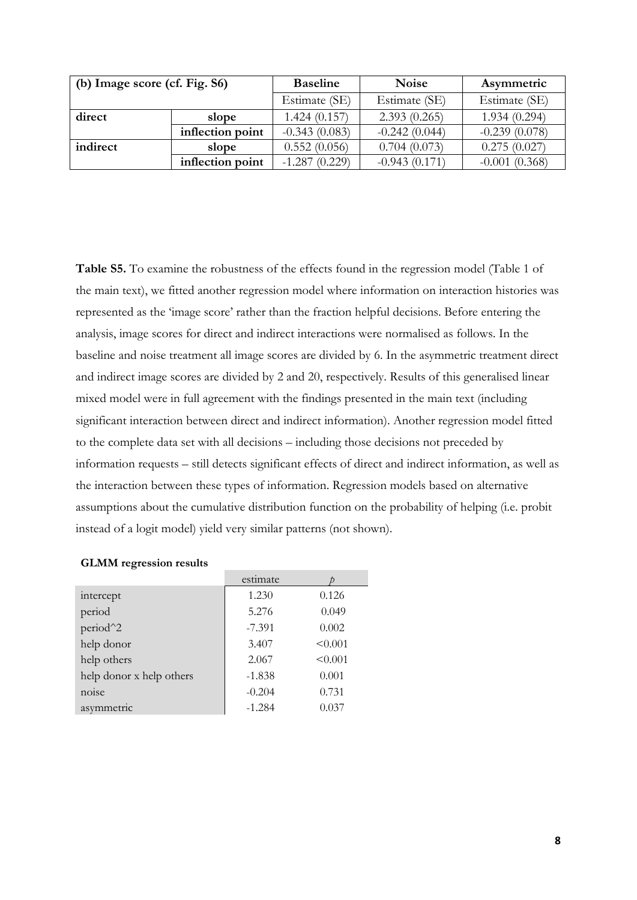| (b) Image score (cf. Fig. S6) |                  | <b>Baseline</b> | <b>Noise</b>    | Asymmetric      |
|-------------------------------|------------------|-----------------|-----------------|-----------------|
|                               |                  | Estimate (SE)   | Estimate (SE)   | Estimate (SE)   |
| direct                        | slope            | 1.424(0.157)    | 2.393(0.265)    | 1.934(0.294)    |
|                               | inflection point | $-0.343(0.083)$ | $-0.242(0.044)$ | $-0.239(0.078)$ |
| indirect                      | slope            | 0.552(0.056)    | 0.704(0.073)    | 0.275(0.027)    |
|                               | inflection point | $-1.287(0.229)$ | $-0.943(0.171)$ | $-0.001(0.368)$ |

**Table S5.** To examine the robustness of the effects found in the regression model (Table 1 of the main text), we fitted another regression model where information on interaction histories was represented as the 'image score' rather than the fraction helpful decisions. Before entering the analysis, image scores for direct and indirect interactions were normalised as follows. In the baseline and noise treatment all image scores are divided by 6. In the asymmetric treatment direct and indirect image scores are divided by 2 and 20, respectively. Results of this generalised linear mixed model were in full agreement with the findings presented in the main text (including significant interaction between direct and indirect information). Another regression model fitted to the complete data set with all decisions – including those decisions not preceded by information requests – still detects significant effects of direct and indirect information, as well as the interaction between these types of information. Regression models based on alternative assumptions about the cumulative distribution function on the probability of helping (i.e. probit instead of a logit model) yield very similar patterns (not shown).

|                          | estimate |         |
|--------------------------|----------|---------|
| intercept                | 1.230    | 0.126   |
| period                   | 5.276    | 0.049   |
| period <sup>^2</sup>     | $-7.391$ | 0.002   |
| help donor               | 3.407    | < 0.001 |
| help others              | 2.067    | < 0.001 |
| help donor x help others | $-1.838$ | 0.001   |
| noise                    | $-0.204$ | 0.731   |
| asymmetric               | $-1.284$ | 0.037   |

## **GLMM regression results**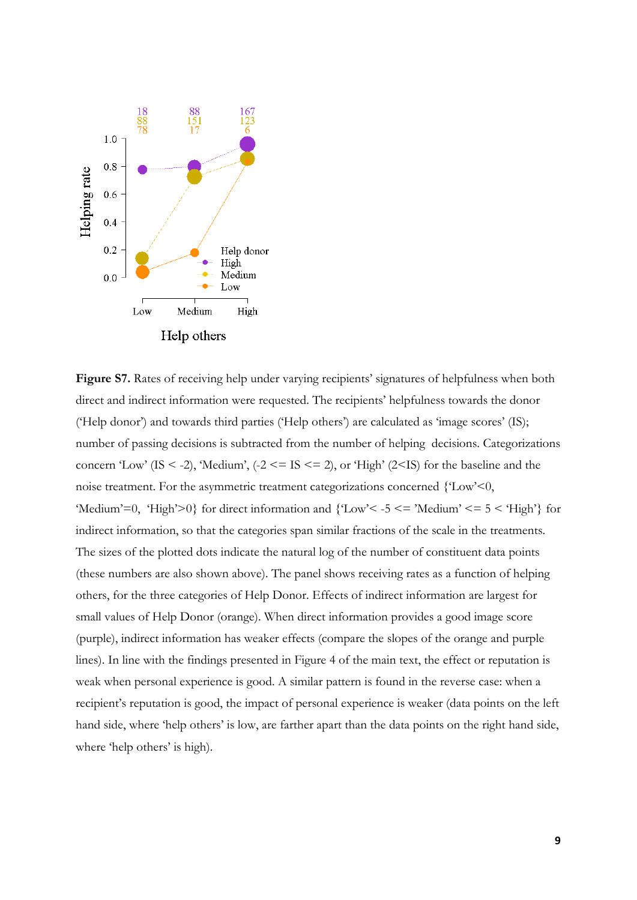

Figure S7. Rates of receiving help under varying recipients' signatures of helpfulness when both direct and indirect information were requested. The recipients' helpfulness towards the donor ('Help donor') and towards third parties ('Help others') are calculated as 'image scores' (IS); number of passing decisions is subtracted from the number of helping decisions. Categorizations concern 'Low' (IS < -2), 'Medium',  $(-2 \leq IS \leq 2)$ , or 'High' (2<IS) for the baseline and the noise treatment. For the asymmetric treatment categorizations concerned {'Low'<0, 'Medium'=0, 'High'>0} for direct information and  ${C<sub>low</sub>'< -5 < = 'Median' < = 5 < 'High' }$  for indirect information, so that the categories span similar fractions of the scale in the treatments. The sizes of the plotted dots indicate the natural log of the number of constituent data points (these numbers are also shown above). The panel shows receiving rates as a function of helping others, for the three categories of Help Donor. Effects of indirect information are largest for small values of Help Donor (orange). When direct information provides a good image score (purple), indirect information has weaker effects (compare the slopes of the orange and purple lines). In line with the findings presented in Figure 4 of the main text, the effect or reputation is weak when personal experience is good. A similar pattern is found in the reverse case: when a recipient's reputation is good, the impact of personal experience is weaker (data points on the left hand side, where 'help others' is low, are farther apart than the data points on the right hand side, where 'help others' is high).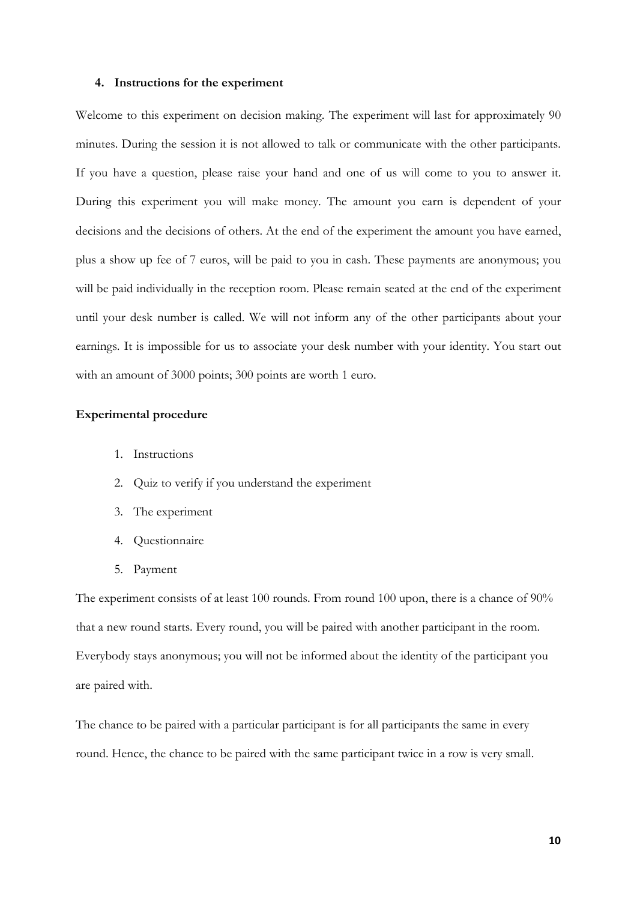#### **4. Instructions for the experiment**

Welcome to this experiment on decision making. The experiment will last for approximately 90 minutes. During the session it is not allowed to talk or communicate with the other participants. If you have a question, please raise your hand and one of us will come to you to answer it. During this experiment you will make money. The amount you earn is dependent of your decisions and the decisions of others. At the end of the experiment the amount you have earned, plus a show up fee of 7 euros, will be paid to you in cash. These payments are anonymous; you will be paid individually in the reception room. Please remain seated at the end of the experiment until your desk number is called. We will not inform any of the other participants about your earnings. It is impossible for us to associate your desk number with your identity. You start out with an amount of 3000 points; 300 points are worth 1 euro.

### **Experimental procedure**

- 1. Instructions
- 2. Quiz to verify if you understand the experiment
- 3. The experiment
- 4. Questionnaire
- 5. Payment

The experiment consists of at least 100 rounds. From round 100 upon, there is a chance of 90% that a new round starts. Every round, you will be paired with another participant in the room. Everybody stays anonymous; you will not be informed about the identity of the participant you are paired with.

The chance to be paired with a particular participant is for all participants the same in every round. Hence, the chance to be paired with the same participant twice in a row is very small.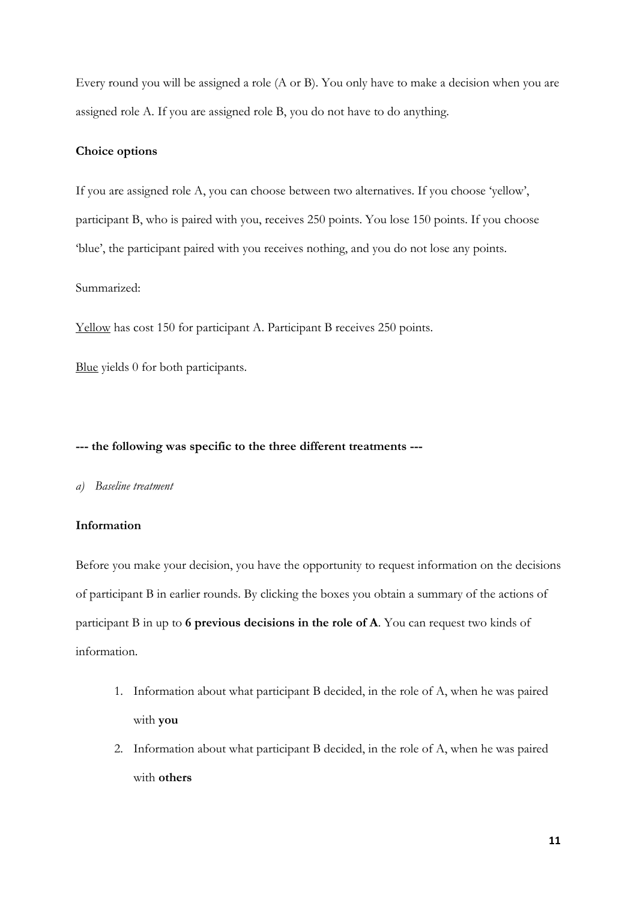Every round you will be assigned a role (A or B). You only have to make a decision when you are assigned role A. If you are assigned role B, you do not have to do anything.

## **Choice options**

If you are assigned role A, you can choose between two alternatives. If you choose 'yellow', participant B, who is paired with you, receives 250 points. You lose 150 points. If you choose 'blue', the participant paired with you receives nothing, and you do not lose any points.

## Summarized:

Yellow has cost 150 for participant A. Participant B receives 250 points.

Blue yields 0 for both participants.

#### **--- the following was specific to the three different treatments ---**

#### *a) Baseline treatment*

#### **Information**

Before you make your decision, you have the opportunity to request information on the decisions of participant B in earlier rounds. By clicking the boxes you obtain a summary of the actions of participant B in up to **6 previous decisions in the role of A**. You can request two kinds of information.

- 1. Information about what participant B decided, in the role of A, when he was paired with **you**
- 2. Information about what participant B decided, in the role of A, when he was paired with **others**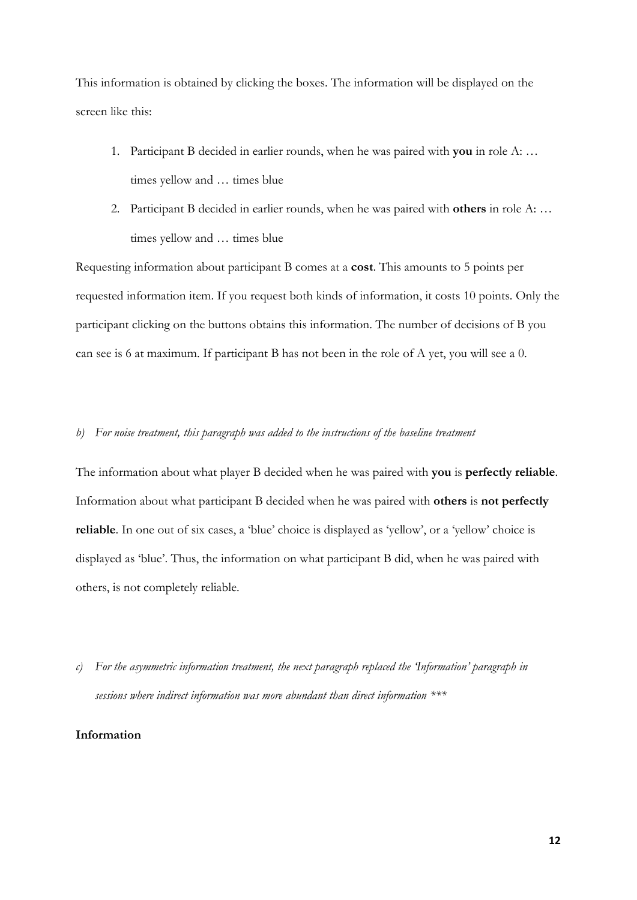This information is obtained by clicking the boxes. The information will be displayed on the screen like this:

- 1. Participant B decided in earlier rounds, when he was paired with **you** in role A: … times yellow and … times blue
- 2. Participant B decided in earlier rounds, when he was paired with **others** in role A: … times yellow and … times blue

Requesting information about participant B comes at a **cost**. This amounts to 5 points per requested information item. If you request both kinds of information, it costs 10 points. Only the participant clicking on the buttons obtains this information. The number of decisions of B you can see is 6 at maximum. If participant B has not been in the role of A yet, you will see a 0.

## *b) For noise treatment, this paragraph was added to the instructions of the baseline treatment*

The information about what player B decided when he was paired with **you** is **perfectly reliable**. Information about what participant B decided when he was paired with **others** is **not perfectly reliable**. In one out of six cases, a 'blue' choice is displayed as 'yellow', or a 'yellow' choice is displayed as 'blue'. Thus, the information on what participant B did, when he was paired with others, is not completely reliable.

*c) For the asymmetric information treatment, the next paragraph replaced the 'Information' paragraph in sessions where indirect information was more abundant than direct information \*\*\**

## **Information**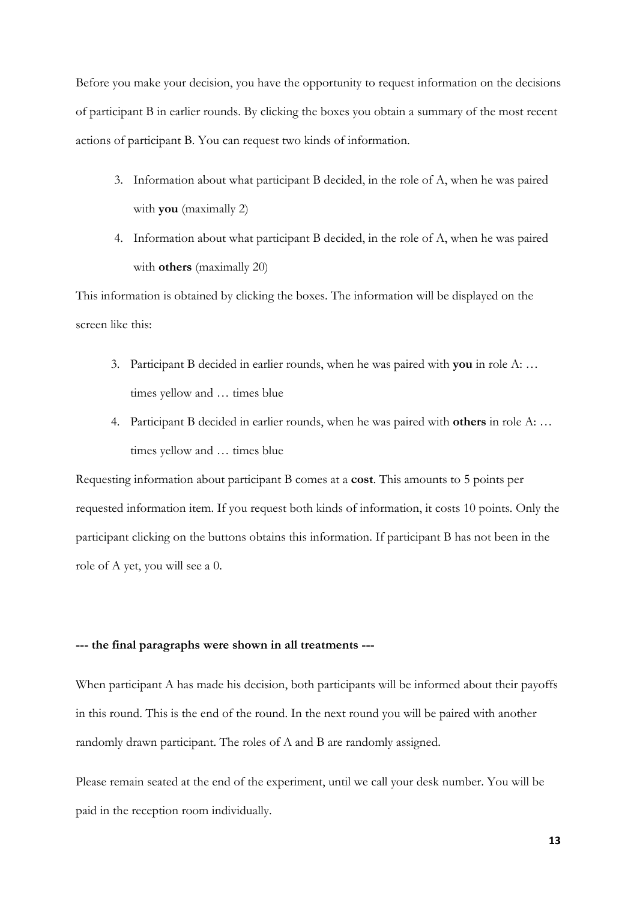Before you make your decision, you have the opportunity to request information on the decisions of participant B in earlier rounds. By clicking the boxes you obtain a summary of the most recent actions of participant B. You can request two kinds of information.

- 3. Information about what participant B decided, in the role of A, when he was paired with **you** (maximally 2)
- 4. Information about what participant B decided, in the role of A, when he was paired with **others** (maximally 20)

This information is obtained by clicking the boxes. The information will be displayed on the screen like this:

- 3. Participant B decided in earlier rounds, when he was paired with **you** in role A: … times yellow and … times blue
- 4. Participant B decided in earlier rounds, when he was paired with **others** in role A: … times yellow and … times blue

Requesting information about participant B comes at a **cost**. This amounts to 5 points per requested information item. If you request both kinds of information, it costs 10 points. Only the participant clicking on the buttons obtains this information. If participant B has not been in the role of A yet, you will see a 0.

#### **--- the final paragraphs were shown in all treatments ---**

When participant A has made his decision, both participants will be informed about their payoffs in this round. This is the end of the round. In the next round you will be paired with another randomly drawn participant. The roles of A and B are randomly assigned.

Please remain seated at the end of the experiment, until we call your desk number. You will be paid in the reception room individually.